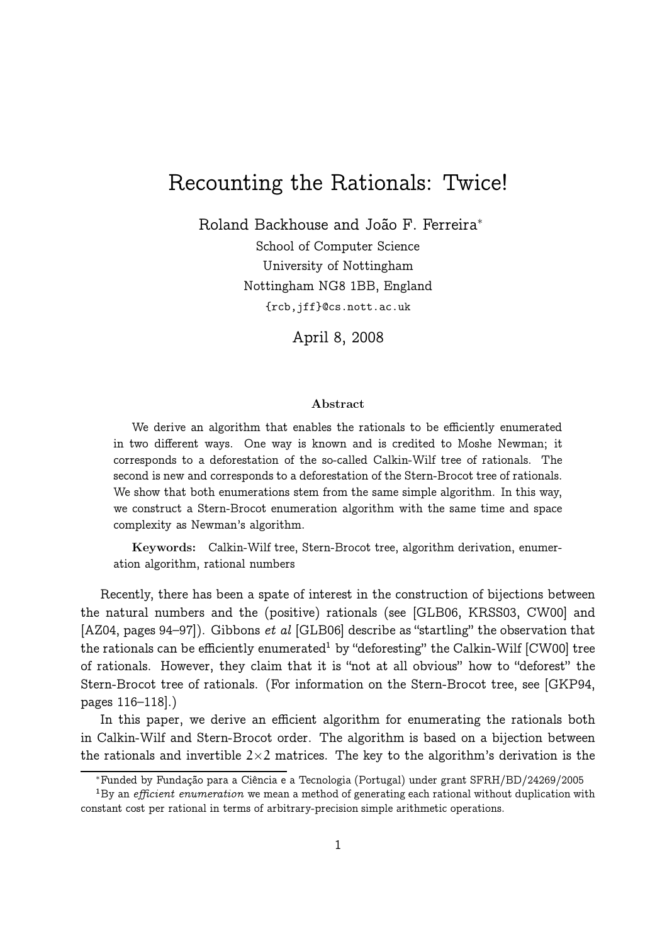# Recounting the Rationals: Twice!

Roland Backhouse and João F. Ferreira<sup>∗</sup> School of Computer Science University of Nottingham Nottingham NG8 1BB, England {rcb,jff}@cs.nott.ac.uk

April 8, 2008

#### Abstract

We derive an algorithm that enables the rationals to be efficiently enumerated in two different ways. One way is known and is credited to Moshe Newman; it corresponds to a deforestation of the so-called Calkin-Wilf tree of rationals. The second is new and corresponds to a deforestation of the Stern-Brocot tree of rationals. We show that both enumerations stem from the same simple algorithm. In this way, we construct a Stern-Brocot enumeration algorithm with the same time and space complexity as Newman's algorithm.

Keywords: Calkin-Wilf tree, Stern-Brocot tree, algorithm derivation, enumeration algorithm, rational numbers

Recently, there has been a spate of interest in the construction of bijections between the natural numbers and the (positive) rationals (see [GLB06, KRSS03, CW00] and [AZ04, pages 94–97]). Gibbons et al [GLB06] describe as "startling" the observation that the rationals can be efficiently enumerated $^{\rm 1}$  by "deforesting" the Calkin-Wilf [CW00] tree of rationals. However, they claim that it is "not at all obvious" how to "deforest" the Stern-Brocot tree of rationals. (For information on the Stern-Brocot tree, see [GKP94, pages 116–118].)

In this paper, we derive an efficient algorithm for enumerating the rationals both in Calkin-Wilf and Stern-Brocot order. The algorithm is based on a bijection between the rationals and invertible  $2\times 2$  matrices. The key to the algorithm's derivation is the

<sup>∗</sup>Funded by Fundação para a Ciência e a Tecnologia (Portugal) under grant SFRH/BD/24269/2005

 $1\,\mathrm{By}$  an *efficient enumeration* we mean a method of generating each rational without duplication with constant cost per rational in terms of arbitrary-precision simple arithmetic operations.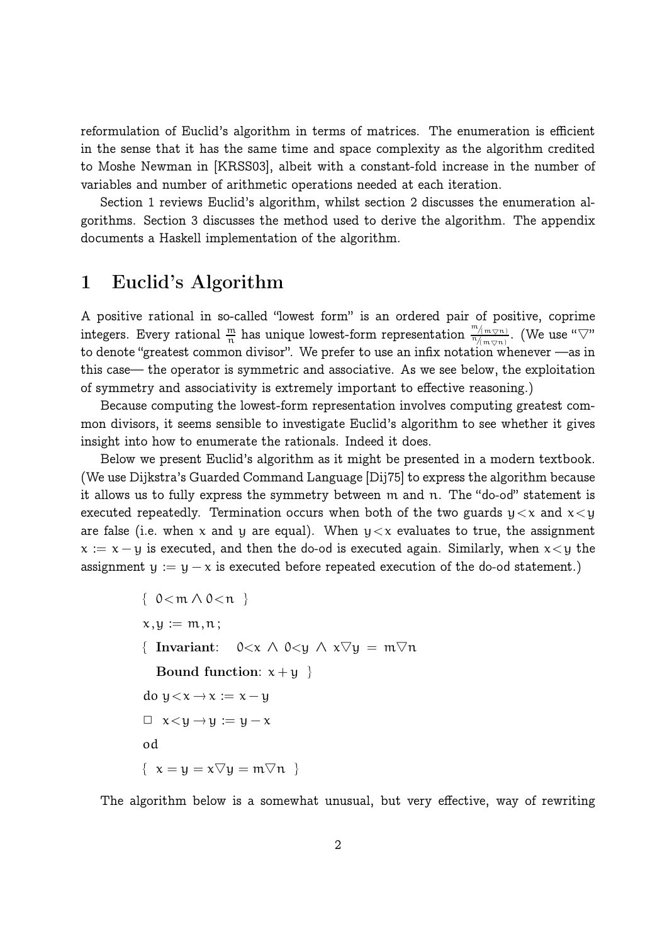reformulation of Euclid's algorithm in terms of matrices. The enumeration is efficient in the sense that it has the same time and space complexity as the algorithm credited to Moshe Newman in [KRSS03], albeit with a constant-fold increase in the number of variables and number of arithmetic operations needed at each iteration.

Section 1 reviews Euclid's algorithm, whilst section 2 discusses the enumeration algorithms. Section 3 discusses the method used to derive the algorithm. The appendix documents a Haskell implementation of the algorithm.

# 1 Euclid's Algorithm

A positive rational in so-called "lowest form" is an ordered pair of positive, coprime integers. Every rational  $\frac{m}{n}$  has unique lowest-form representation  $\frac{m_{(m\varphi n)}}{n_{/(m\varphi n)}}$  $\frac{\frac{\mathfrak{m}}{2}(\mathfrak{m}\oslash\mathfrak{n})}{\mathfrak{n}/\mathfrak{m}\oslash\mathfrak{n}}.$  (We use " $\bigtriangledown$ " to denote "greatest common divisor". We prefer to use an infix notation whenever —as in this case— the operator is symmetric and associative. As we see below, the exploitation of symmetry and associativity is extremely important to effective reasoning.)

Because computing the lowest-form representation involves computing greatest common divisors, it seems sensible to investigate Euclid's algorithm to see whether it gives insight into how to enumerate the rationals. Indeed it does.

Below we present Euclid's algorithm as it might be presented in a modern textbook. (We use Dijkstra's Guarded Command Language [Dij75] to express the algorithm because it allows us to fully express the symmetry between m and n. The "do-od" statement is executed repeatedly. Termination occurs when both of the two guards  $y < x$  and  $x < y$ are false (i.e. when x and y are equal). When  $y < x$  evaluates to true, the assignment  $x := x - y$  is executed, and then the do-od is executed again. Similarly, when  $x < y$  the assignment  $y := y - x$  is executed before repeated execution of the do-od statement.)

```
{ 0<m ∧ 0<n }
x,y := m, n;{ Invariant: 0 \lt x \wedge 0 \lt y \wedge x \triangledown y = m \triangledown nBound function: x + y }
do y \leq x \rightarrow x := x - y\Box x < y \rightarrow y := y - xod
\{ x = u = x \nabla u = m \nabla n \}
```
The algorithm below is a somewhat unusual, but very effective, way of rewriting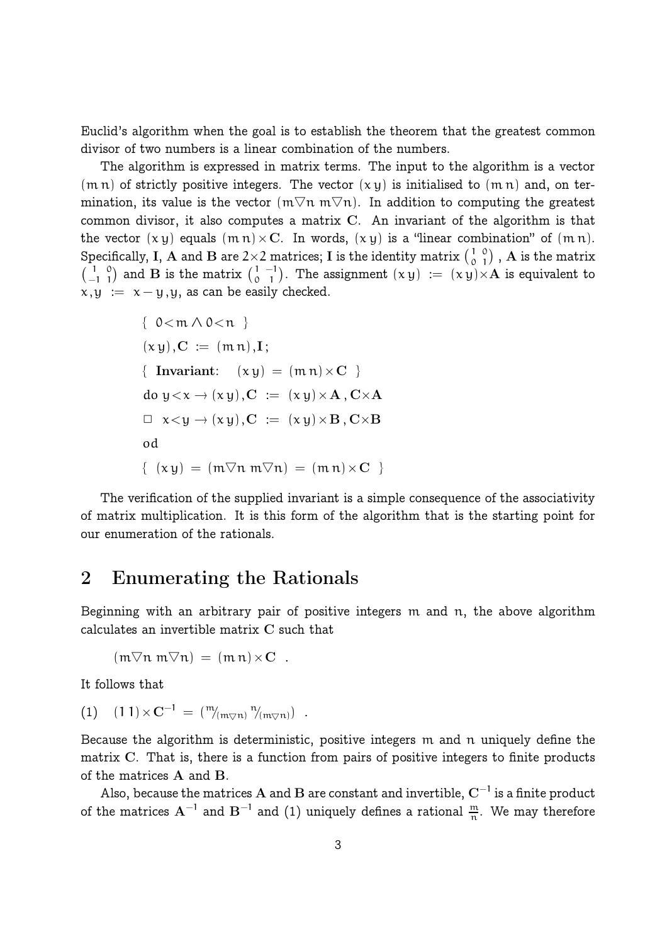Euclid's algorithm when the goal is to establish the theorem that the greatest common divisor of two numbers is a linear combination of the numbers.

The algorithm is expressed in matrix terms. The input to the algorithm is a vector  $(m n)$  of strictly positive integers. The vector  $(x y)$  is initialised to  $(m n)$  and, on termination, its value is the vector  $(m\nabla n m\nabla n)$ . In addition to computing the greatest common divisor, it also computes a matrix C. An invariant of the algorithm is that the vector  $(x y)$  equals  $(m n) \times C$ . In words,  $(x y)$  is a "linear combination" of  $(m n)$ . Specifically, I, A and B are 2×2 matrices; I is the identity matrix  $(\frac{1}{\alpha})$ 0 0  $\binom{0}{1}$  ,  ${\bf A}$  is the matrix  $\begin{pmatrix} 1 \\ -1 \end{pmatrix}$ −1 0  $\binom{0}{1}$  and  $\bf{B}$  is the matrix  $\binom{1}{0}$ 0 −1  $\binom{-1}{1}$ . The assignment  $(x y) := (x y) \times A$  is equivalent to  $x,y := x-y,y$ , as can be easily checked.

{ 
$$
0 < m \land 0 < n
$$
 }  
\n $(xy), C := (mn), I;$   
\n{ Invariant:  $(xy) = (mn) \times C$  }  
\n $do y < x \rightarrow (xy), C := (xy) \times A, C \times A$   
\n $\Box x < y \rightarrow (xy), C := (xy) \times B, C \times B$   
\n $od$   
\n ${ (xy) = (m \nabla n m \nabla n) = (m n) \times C }$ 

The verification of the supplied invariant is a simple consequence of the associativity of matrix multiplication. It is this form of the algorithm that is the starting point for our enumeration of the rationals.

## 2 Enumerating the Rationals

Beginning with an arbitrary pair of positive integers m and n, the above algorithm calculates an invertible matrix C such that

 $(m\nabla n m\nabla n) = (mn) \times C$ .

It follows that

$$
(1) \quad (1\,1) \times C^{-1} \,=\, (\mathop{\raisebox{1.1pt}{\tiny\rm W}}\nolimits_{(\mathfrak{m}\bigtriangledown\mathfrak{n})}\mathop{\raisebox{1.1pt}{\tiny\rm W}}\nolimits_{(\mathfrak{m}\bigtriangledown\mathfrak{n})})\enspace.
$$

Because the algorithm is deterministic, positive integers m and n uniquely define the matrix C. That is, there is a function from pairs of positive integers to finite products of the matrices A and B.

Also, because the matrices  ${\bf A}$  and  ${\bf B}$  are constant and invertible,  ${\bf C}^{-1}$  is a finite product of the matrices  $\textbf{A}^{-1}$  and  $\textbf{B}^{-1}$  and  $(1)$  uniquely defines a rational  $\frac{\text{m}}{\text{n}}$ . We may therefore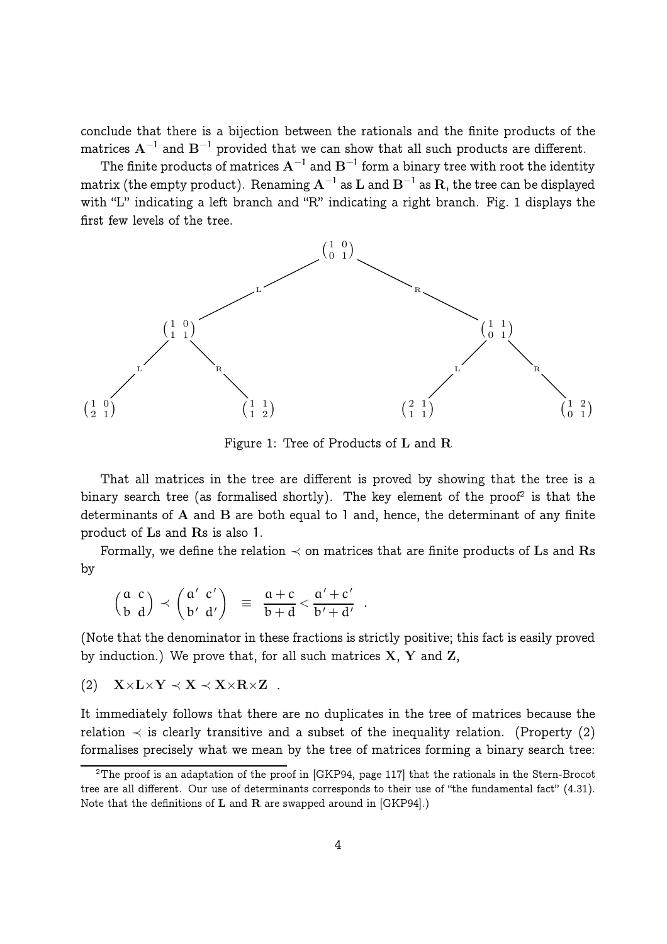conclude that there is a bijection between the rationals and the finite products of the matrices  $\mathrm{A}^{-1}$  and  $\mathrm{B}^{-1}$  provided that we can show that all such products are different.

The finite products of matrices  $\mathrm{A}^{-1}$  and  $\mathrm{B}^{-1}$  form a binary tree with root the identity matrix (the empty product). Renaming  $\mathrm{A}^{-1}$  as  $\mathrm{L}$  and  $\mathrm{B}^{-1}$  as  $\mathrm{R},$  the tree can be displayed with "L" indicating a left branch and "R" indicating a right branch. Fig. 1 displays the first few levels of the tree.



Figure 1: Tree of Products of L and R

That all matrices in the tree are different is proved by showing that the tree is a binary search tree (as formalised shortly). The key element of the proof<sup>2</sup> is that the determinants of A and B are both equal to 1 and, hence, the determinant of any finite product of Ls and Rs is also 1.

Formally, we define the relation  $\prec$  on matrices that are finite products of Ls and Rs by

$$
\left(\begin{smallmatrix} a & c \\ b & d \end{smallmatrix}\right) \prec \left(\begin{smallmatrix} a' & c' \\ b' & d' \end{smallmatrix}\right) \;\; \equiv \;\; \frac{a+c}{b+d} < \frac{a'+c'}{b'+d'} \;\; .
$$

(Note that the denominator in these fractions is strictly positive; this fact is easily proved by induction.) We prove that, for all such matrices  $X, Y$  and  $Z$ ,

$$
(2) \quad X \times L \times Y \prec X \prec X \times R \times Z \quad .
$$

It immediately follows that there are no duplicates in the tree of matrices because the relation  $\prec$  is clearly transitive and a subset of the inequality relation. (Property (2) formalises precisely what we mean by the tree of matrices forming a binary search tree:

 $\rm ^2The$  proof is an adaptation of the proof in [GKP94, page 117] that the rationals in the Stern-Brocot tree are all different. Our use of determinants corresponds to their use of "the fundamental fact" (4.31). Note that the definitions of  $L$  and  $R$  are swapped around in [GKP94].)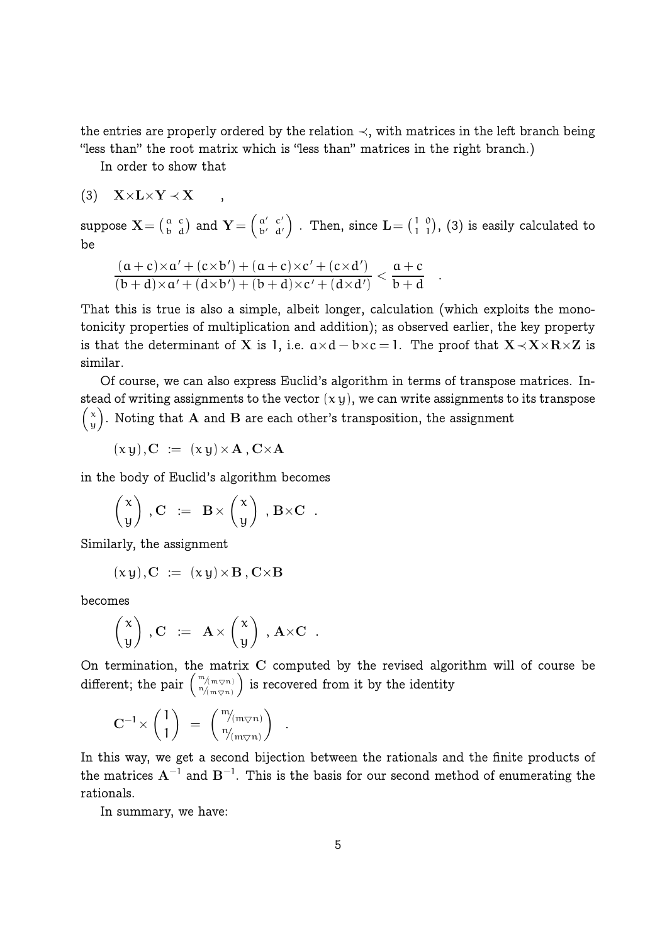the entries are properly ordered by the relation  $\prec$ , with matrices in the left branch being "less than" the root matrix which is "less than" matrices in the right branch.)

In order to show that

$$
(3) \quad \mathbf{X}{\times}\mathbf{L}{\times}\mathbf{Y}\prec\mathbf{X}\qquad ,
$$

suppose  $\mathbf{X}\mathbf{=}\left(\mathbf{a}\atop \mathbf{b}\right)$ c  $\left(\begin{smallmatrix} c \ d \end{smallmatrix}\right)$  and  $\mathbf{Y}=\left(\begin{smallmatrix} a' \ b' \end{smallmatrix}\right)$ b′ c ′  $\left(\begin{smallmatrix} c' \ d' \end{smallmatrix}\right)$  . Then, since  $\mathbf{L} = \left(\begin{smallmatrix} 1 \ 1 \end{smallmatrix}\right)$ 1 0  $\binom{0}{1}$ , (3) is easily calculated to be

.

$$
\frac{(a+c)\times a'+(c\times b')+(a+c)\times c'+(c\times d')}{(b+d)\times a'+(d\times b')+(b+d)\times c'+(d\times d')}<\frac{a+c}{b+d}
$$

That this is true is also a simple, albeit longer, calculation (which exploits the monotonicity properties of multiplication and addition); as observed earlier, the key property is that the determinant of X is 1, i.e.  $a \times d - b \times c = 1$ . The proof that  $X \prec X \times R \times Z$  is similar.

Of course, we can also express Euclid's algorithm in terms of transpose matrices. Instead of writing assignments to the vector  $(x y)$ , we can write assignments to its transpose  $\int x$  $\mathbf{y}^{\times}_{\mathbf{y}}$ ). Noting that  $\mathbf{A}% _{\mathbf{y}}$  and  $\mathbf{B}% _{\mathbf{y}}$  are each other's transposition, the assignment

$$
(x y), C := (x y) \times A, C \times A
$$

in the body of Euclid's algorithm becomes

$$
\begin{pmatrix} x \\ y \end{pmatrix}, C := B \times \begin{pmatrix} x \\ y \end{pmatrix}, B \times C.
$$

Similarly, the assignment

$$
(xy), C := (xy) \times B, C \times B
$$

becomes

$$
\begin{pmatrix} x \\ y \end{pmatrix} \,, C \ := \ A \times \begin{pmatrix} x \\ y \end{pmatrix} \,, A \times C \ .
$$

On termination, the matrix C computed by the revised algorithm will of course be  $\operatorname{different};$  the pair  $\left(\begin{smallmatrix} \mathfrak{m}/\mathfrak{m}\otimes\mathfrak{n}\end{smallmatrix}\right) \ \ \ \begin{smallmatrix} \mathfrak{m}/\mathfrak{m}\otimes\mathfrak{n}\end{smallmatrix}$ ) is recovered from it by the identity

.

$$
\mathbf{C}^{-1} \times \begin{pmatrix} 1 \\ 1 \end{pmatrix} \; = \; \begin{pmatrix} \frac{m}{m_{\nabla} n} \\ \frac{n}{m_{\nabla} n} \end{pmatrix}
$$

In this way, we get a second bijection between the rationals and the finite products of the matrices  $\mathrm{A}^{-1}$  and  $\mathrm{B}^{-1}.$  This is the basis for our second method of enumerating the rationals.

In summary, we have: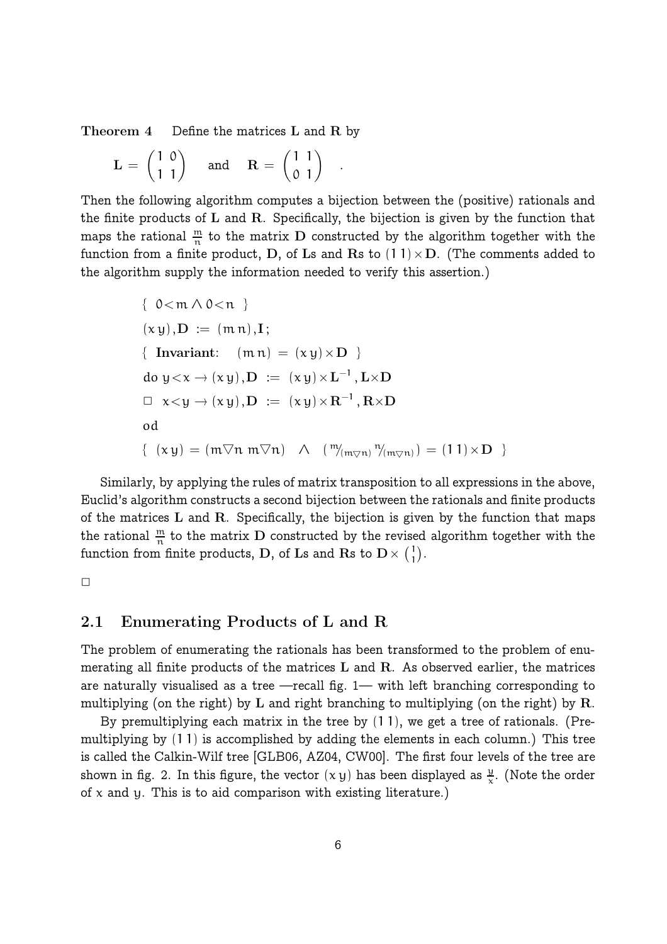Theorem 4 Define the matrices L and R by

$$
\mathbf{L} = \begin{pmatrix} 1 & 0 \\ 1 & 1 \end{pmatrix} \quad \text{and} \quad \mathbf{R} = \begin{pmatrix} 1 & 1 \\ 0 & 1 \end{pmatrix}
$$

Then the following algorithm computes a bijection between the (positive) rationals and the finite products of  $L$  and  $R$ . Specifically, the bijection is given by the function that maps the rational  $\frac{m}{n}$  to the matrix D constructed by the algorithm together with the function from a finite product, D, of Ls and Rs to  $(11) \times D$ . (The comments added to the algorithm supply the information needed to verify this assertion.)

.

$$
\{ 0 < m \land 0 < n \}
$$
\n
$$
(x y), D := (m n), I;
$$
\n
$$
\{ \text{ Invariant: } (m n) = (x y) \times D \}
$$
\n
$$
d o y < x \to (x y), D := (x y) \times L^{-1}, L \times D
$$
\n
$$
\Box x < y \to (x y), D := (x y) \times R^{-1}, R \times D
$$
\n
$$
o d
$$
\n
$$
\{ (x y) = (m \nabla n \ m \nabla n) \land (m \nabla m) \nabla (m \nabla n) = (1 1) \times D \}
$$

Similarly, by applying the rules of matrix transposition to all expressions in the above, Euclid's algorithm constructs a second bijection between the rationals and finite products of the matrices  $L$  and  $R$ . Specifically, the bijection is given by the function that maps the rational  $\frac{m}{n}$  to the matrix D constructed by the revised algorithm together with the function from finite products, D, of Ls and Rs to  $\mathrm{D}\times \mathrm{D}_1$  $\binom{1}{1}$ .

 $\Box$ 

### 2.1 Enumerating Products of L and R

The problem of enumerating the rationals has been transformed to the problem of enumerating all finite products of the matrices L and R. As observed earlier, the matrices are naturally visualised as a tree —recall fig. 1— with left branching corresponding to multiplying (on the right) by L and right branching to multiplying (on the right) by R.

By premultiplying each matrix in the tree by (1 1), we get a tree of rationals. (Premultiplying by (1 1) is accomplished by adding the elements in each column.) This tree is called the Calkin-Wilf tree [GLB06, AZ04, CW00]. The first four levels of the tree are shown in fig. 2. In this figure, the vector  $(x y)$  has been displayed as  $\frac{y}{x}$ . (Note the order of  $x$  and  $y$ . This is to aid comparison with existing literature.)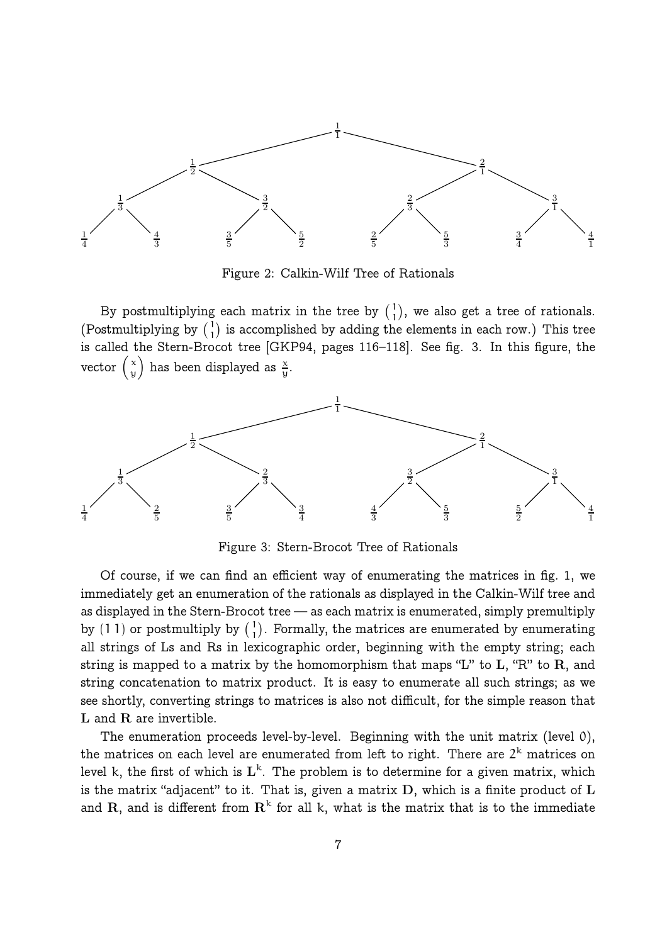

Figure 2: Calkin-Wilf Tree of Rationals

By postmultiplying each matrix in the tree by  $\binom{1}{1}$  $\binom{1}{1}$ , we also get a tree of rationals. (Postmultiplying by  $\binom{1}{1}$  $\binom{1}{1}$  is accomplished by adding the elements in each row.) This tree is called the Stern-Brocot tree [GKP94, pages 116–118]. See fig. 3. In this figure, the vector  $\begin{pmatrix} x \\ y \end{pmatrix}$  $\begin{pmatrix} \mathbf{x} \ \mathbf{y} \end{pmatrix}$  has been displayed as  $\frac{\mathbf{x}}{\mathbf{y}}$ .



Figure 3: Stern-Brocot Tree of Rationals

Of course, if we can find an efficient way of enumerating the matrices in fig. 1, we immediately get an enumeration of the rationals as displayed in the Calkin-Wilf tree and as displayed in the Stern-Brocot tree — as each matrix is enumerated, simply premultiply by (11) or postmultiply by  $\binom{1}{1}$  $\binom{1}{1}$ . Formally, the matrices are enumerated by enumerating all strings of Ls and Rs in lexicographic order, beginning with the empty string; each string is mapped to a matrix by the homomorphism that maps "L" to  $L$ , "R" to  $R$ , and string concatenation to matrix product. It is easy to enumerate all such strings; as we see shortly, converting strings to matrices is also not difficult, for the simple reason that L and R are invertible.

The enumeration proceeds level-by-level. Beginning with the unit matrix (level 0), the matrices on each level are enumerated from left to right. There are  $2^{\text{k}}$  matrices on level k, the first of which is  $\mathrm{L}^{\text{k}}$ . The problem is to determine for a given matrix, which is the matrix "adjacent" to it. That is, given a matrix  $D$ , which is a finite product of  $L$ and  $\rm R,$  and is different from  $\rm R^k$  for all k, what is the matrix that is to the immediate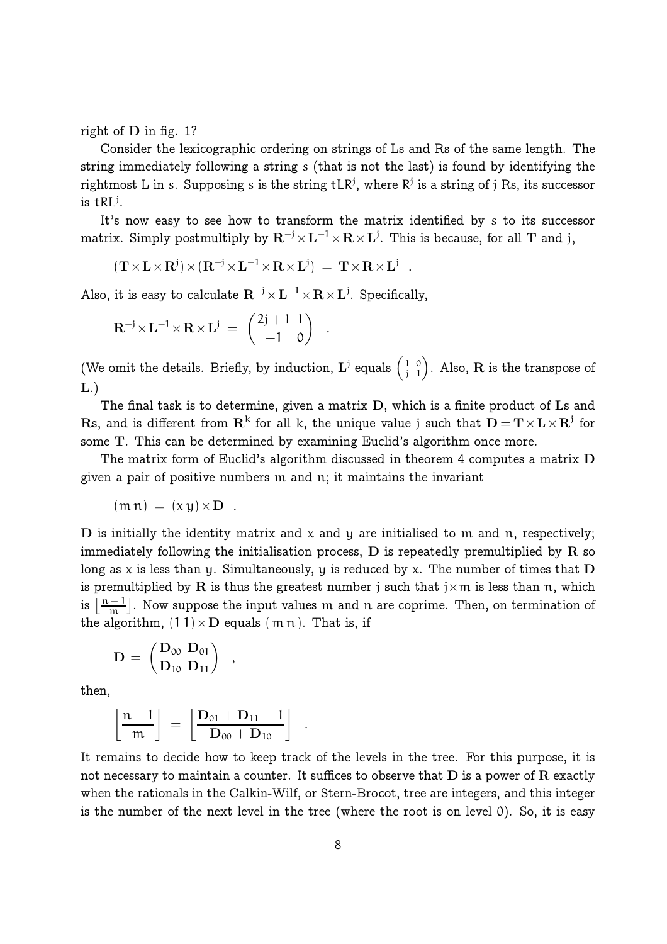right of D in fig. 1?

Consider the lexicographic ordering on strings of Ls and Rs of the same length. The string immediately following a string s (that is not the last) is found by identifying the rightmost L in s. Supposing s is the string tLR<sup>j</sup>, where R<sup>j</sup> is a string of j Rs, its successor is  $\text{tRL}^{\text{j}}$ .

It's now easy to see how to transform the matrix identified by s to its successor matrix. Simply postmultiply by  ${\bf R}^{-j}\!\times\!{\bf L}^{-1}\!\times\!{\bf R}\!\times\!{\bf L}^j.$  This is because, for all  ${\bf T}$  and  ${\bf j},$ 

$$
(\mathbf{T} \times \mathbf{L} \times \mathbf{R}^j) \times (\mathbf{R}^{-j} \times \mathbf{L}^{-1} \times \mathbf{R} \times \mathbf{L}^j) = \mathbf{T} \times \mathbf{R} \times \mathbf{L}^j .
$$

Also, it is easy to calculate  $\mathbf{R}^{-\mathfrak{j}} \!\times\! \mathbf{L}^{-\mathfrak{l}} \!\times\! \mathbf{R} \!\times\! \mathbf{L}^{\mathfrak{j}}.$  Specifically,

$$
\mathbf{R}^{-j} \times \mathbf{L}^{-1} \times \mathbf{R} \times \mathbf{L}^{j} = \begin{pmatrix} 2j+1 & 1 \\ -1 & 0 \end{pmatrix}
$$

(We omit the details. Briefly, by induction,  $\mathbf{L}^j$  equals  $\begin{pmatrix} 1 \\ 1 \end{pmatrix}$ j 0  $\binom{0}{1}$ . Also,  ${\bf R}$  is the transpose of  $L.$ 

.

The final task is to determine, given a matrix D, which is a finite product of Ls and  ${\rm \bf R}$ s, and is different from  ${\rm \bf R}^k$  for all k, the unique value j such that  ${\rm \bf D} = {\rm \bf T} \times {\rm \bf L} \times {\rm \bf R}^j$  for some T. This can be determined by examining Euclid's algorithm once more.

The matrix form of Euclid's algorithm discussed in theorem 4 computes a matrix D given a pair of positive numbers m and n; it maintains the invariant

$$
(\mathfrak{m}\,\mathfrak{n})\,=\, (x\,y)\!\times\!\mathbf{D}\ .
$$

D is initially the identity matrix and  $x$  and  $y$  are initialised to m and n, respectively; immediately following the initialisation process,  $D$  is repeatedly premultiplied by  $R$  so long as x is less than y. Simultaneously, y is reduced by x. The number of times that  $D$ is premultiplied by R is thus the greatest number j such that  $j \times m$  is less than n, which is  $\left| \frac{n-1}{m} \right|$  $\frac{-1}{m}$ . Now suppose the input values  $m$  and  $n$  are coprime. Then, on termination of the algorithm,  $(1 1) \times D$  equals  $(m n)$ . That is, if

$$
\mathbf{D} = \begin{pmatrix} \mathbf{D}_{00} & \mathbf{D}_{01} \\ \mathbf{D}_{10} & \mathbf{D}_{11} \end{pmatrix}
$$

then,

$$
\left\lfloor\frac{n-1}{m}\right\rfloor\ =\ \left\lfloor\frac{\mathbf{D}_{01}+\mathbf{D}_{11}-1}{\mathbf{D}_{00}+\mathbf{D}_{10}}\right\rfloor
$$

,

It remains to decide how to keep track of the levels in the tree. For this purpose, it is not necessary to maintain a counter. It suffices to observe that  $D$  is a power of  $R$  exactly when the rationals in the Calkin-Wilf, or Stern-Brocot, tree are integers, and this integer is the number of the next level in the tree (where the root is on level 0). So, it is easy

.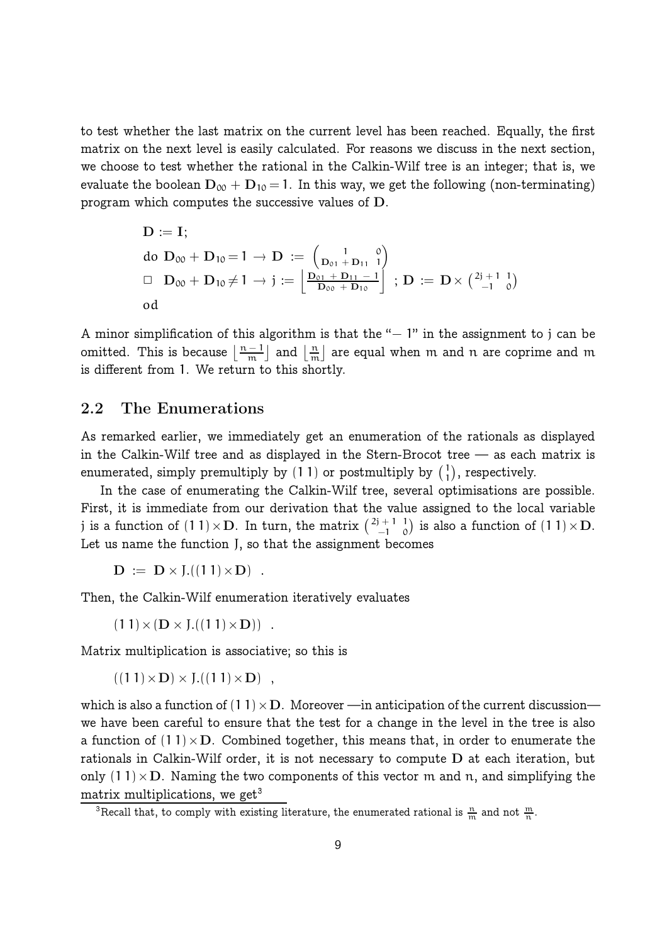to test whether the last matrix on the current level has been reached. Equally, the first matrix on the next level is easily calculated. For reasons we discuss in the next section, we choose to test whether the rational in the Calkin-Wilf tree is an integer; that is, we evaluate the boolean  $D_{00} + D_{10} = 1$ . In this way, we get the following (non-terminating) program which computes the successive values of D.

$$
\begin{array}{l}D:=\mathrm{\bf I};\\ \text{do } {\bf D}_{00}+{\bf D}_{10}\!=\!1 \rightarrow {\bf D} \, := \, \left(\begin{smallmatrix} 1 & 0 \\ {\bf D}_{01}+{\bf D}_{11} & 1 \end{smallmatrix}\right)\\ \square \quad {\bf D}_{00}+{\bf D}_{10}\!\neq\!1 \rightarrow j := \left[\begin{smallmatrix} {\bf D}_{01}+{\bf D}_{11}-1 \\ {\bf D}_{00}+{\bf D}_{10} \end{smallmatrix}\right] \, ; \, {\bf D} \, := \, {\bf D}\times \left(\begin{smallmatrix} 2j+1 & 1 \\ -1 & 0 \end{smallmatrix}\right)\\ \text{od}\end{array}
$$

A minor simplification of this algorithm is that the " $-1$ " in the assignment to j can be omitted. This is because  $\left\lfloor \frac{n-1}{m} \right\rfloor$  $\frac{-1}{m}$  and  $\frac{n}{m}$  $\frac{\text{m}}{\text{m}}$  are equal when  $\text{m}$  and  $\text{n}$  are coprime and  $\text{m}$ is different from 1. We return to this shortly.

#### 2.2 The Enumerations

As remarked earlier, we immediately get an enumeration of the rationals as displayed in the Calkin-Wilf tree and as displayed in the Stern-Brocot tree — as each matrix is enumerated, simply premultiply by  $(1\ 1)$  or postmultiply by  $({1\ \ 1})$  $\binom{1}{1}$ , respectively.

In the case of enumerating the Calkin-Wilf tree, several optimisations are possible. First, it is immediate from our derivation that the value assigned to the local variable j is a function of  $(1\ 1)\times\mathbf{D}$ . In turn, the matrix  $\binom{2\mathbf{i}+1}{-1}$ −1 1  $\binom{1}{0}$  is also a function of  $(1\ 1) \times D$ . Let us name the function J, so that the assignment becomes

 $D := D \times L((11) \times D)$ .

Then, the Calkin-Wilf enumeration iteratively evaluates

 $(11) \times (D \times J.((11) \times D))$ .

Matrix multiplication is associative; so this is

 $((11) \times D) \times J.((11) \times D)$ ,

which is also a function of  $(1 1) \times D$ . Moreover —in anticipation of the current discussion we have been careful to ensure that the test for a change in the level in the tree is also a function of  $(1 1) \times D$ . Combined together, this means that, in order to enumerate the rationals in Calkin-Wilf order, it is not necessary to compute D at each iteration, but only  $(1\ 1)\times$ D. Naming the two components of this vector m and n, and simplifying the matrix multiplications, we get<sup>3</sup>

<sup>&</sup>lt;sup>3</sup>Recall that, to comply with existing literature, the enumerated rational is  $\frac{n}{m}$  and not  $\frac{m}{n}$ .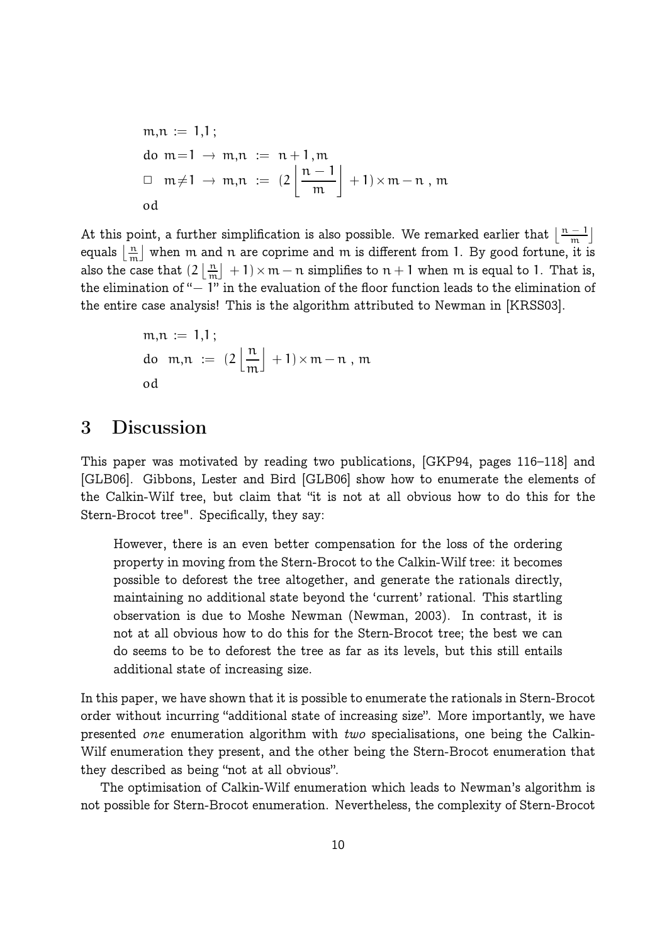$$
m, n := 1,1;
$$
  
do m=1  $\to$  m,n := n+1,m  
 $\Box$  m \ne 1  $\to$  m,n :=  $(2\left\lfloor \frac{n-1}{m} \right\rfloor + 1) \times m - n$ , m  
od

At this point, a further simplification is also possible. We remarked earlier that  $\left\lfloor\frac{n-1}{m}\right\rfloor$  $\frac{-1}{m}$ equals  $\lfloor \frac{n}{m} \rfloor$  $\frac{\text{m}}{\text{m}}$  when  $\text{m}$  and  $\text{n}$  are coprime and  $\text{m}$  is different from 1. By good fortune, it is also the case that  $(2 \mid \frac{n}{m})$  $\left\lfloor \frac{n}{m} \right\rfloor + 1 \times m - n$  simplifies to  $n + 1$  when  $m$  is equal to 1. That is, the elimination of "− 1" in the evaluation of the floor function leads to the elimination of the entire case analysis! This is the algorithm attributed to Newman in [KRSS03].

$$
m, n := 1,1;
$$
  
do  $m, n := \left(2 \left\lfloor \frac{n}{m} \right\rfloor + 1\right) \times m - n$ , m  
od

# 3 Discussion

This paper was motivated by reading two publications, [GKP94, pages 116–118] and [GLB06]. Gibbons, Lester and Bird [GLB06] show how to enumerate the elements of the Calkin-Wilf tree, but claim that "it is not at all obvious how to do this for the Stern-Brocot tree". Specifically, they say:

However, there is an even better compensation for the loss of the ordering property in moving from the Stern-Brocot to the Calkin-Wilf tree: it becomes possible to deforest the tree altogether, and generate the rationals directly, maintaining no additional state beyond the 'current' rational. This startling observation is due to Moshe Newman (Newman, 2003). In contrast, it is not at all obvious how to do this for the Stern-Brocot tree; the best we can do seems to be to deforest the tree as far as its levels, but this still entails additional state of increasing size.

In this paper, we have shown that it is possible to enumerate the rationals in Stern-Brocot order without incurring "additional state of increasing size". More importantly, we have presented one enumeration algorithm with two specialisations, one being the Calkin-Wilf enumeration they present, and the other being the Stern-Brocot enumeration that they described as being "not at all obvious".

The optimisation of Calkin-Wilf enumeration which leads to Newman's algorithm is not possible for Stern-Brocot enumeration. Nevertheless, the complexity of Stern-Brocot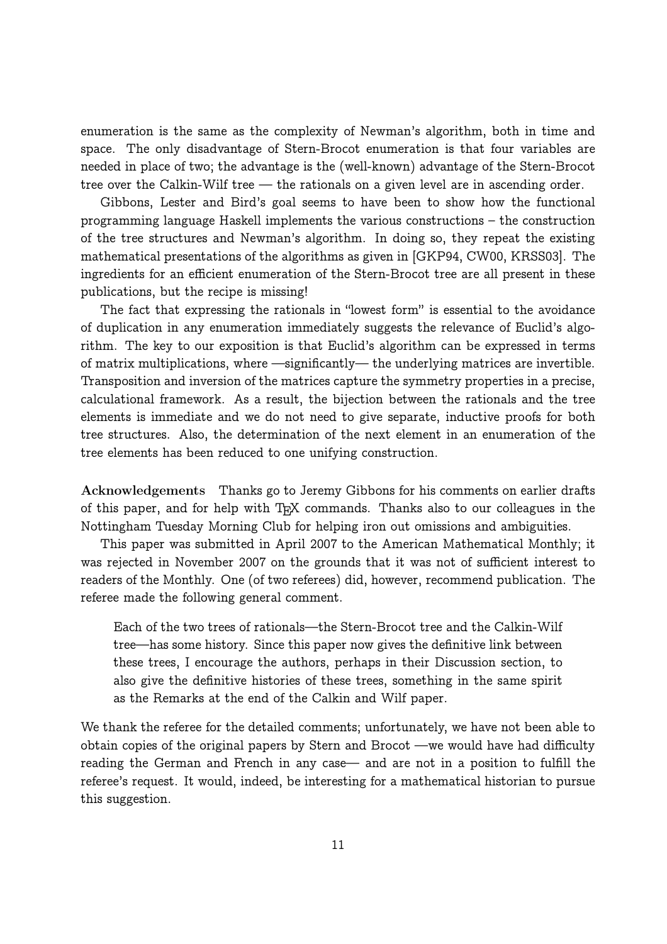enumeration is the same as the complexity of Newman's algorithm, both in time and space. The only disadvantage of Stern-Brocot enumeration is that four variables are needed in place of two; the advantage is the (well-known) advantage of the Stern-Brocot tree over the Calkin-Wilf tree — the rationals on a given level are in ascending order.

Gibbons, Lester and Bird's goal seems to have been to show how the functional programming language Haskell implements the various constructions – the construction of the tree structures and Newman's algorithm. In doing so, they repeat the existing mathematical presentations of the algorithms as given in [GKP94, CW00, KRSS03]. The ingredients for an efficient enumeration of the Stern-Brocot tree are all present in these publications, but the recipe is missing!

The fact that expressing the rationals in "lowest form" is essential to the avoidance of duplication in any enumeration immediately suggests the relevance of Euclid's algorithm. The key to our exposition is that Euclid's algorithm can be expressed in terms of matrix multiplications, where —significantly— the underlying matrices are invertible. Transposition and inversion of the matrices capture the symmetry properties in a precise, calculational framework. As a result, the bijection between the rationals and the tree elements is immediate and we do not need to give separate, inductive proofs for both tree structures. Also, the determination of the next element in an enumeration of the tree elements has been reduced to one unifying construction.

Acknowledgements Thanks go to Jeremy Gibbons for his comments on earlier drafts of this paper, and for help with T<sub>E</sub>X commands. Thanks also to our colleagues in the Nottingham Tuesday Morning Club for helping iron out omissions and ambiguities.

This paper was submitted in April 2007 to the American Mathematical Monthly; it was rejected in November 2007 on the grounds that it was not of sufficient interest to readers of the Monthly. One (of two referees) did, however, recommend publication. The referee made the following general comment.

Each of the two trees of rationals—the Stern-Brocot tree and the Calkin-Wilf tree—has some history. Since this paper now gives the definitive link between these trees, I encourage the authors, perhaps in their Discussion section, to also give the definitive histories of these trees, something in the same spirit as the Remarks at the end of the Calkin and Wilf paper.

We thank the referee for the detailed comments; unfortunately, we have not been able to obtain copies of the original papers by Stern and Brocot —we would have had difficulty reading the German and French in any case— and are not in a position to fulfill the referee's request. It would, indeed, be interesting for a mathematical historian to pursue this suggestion.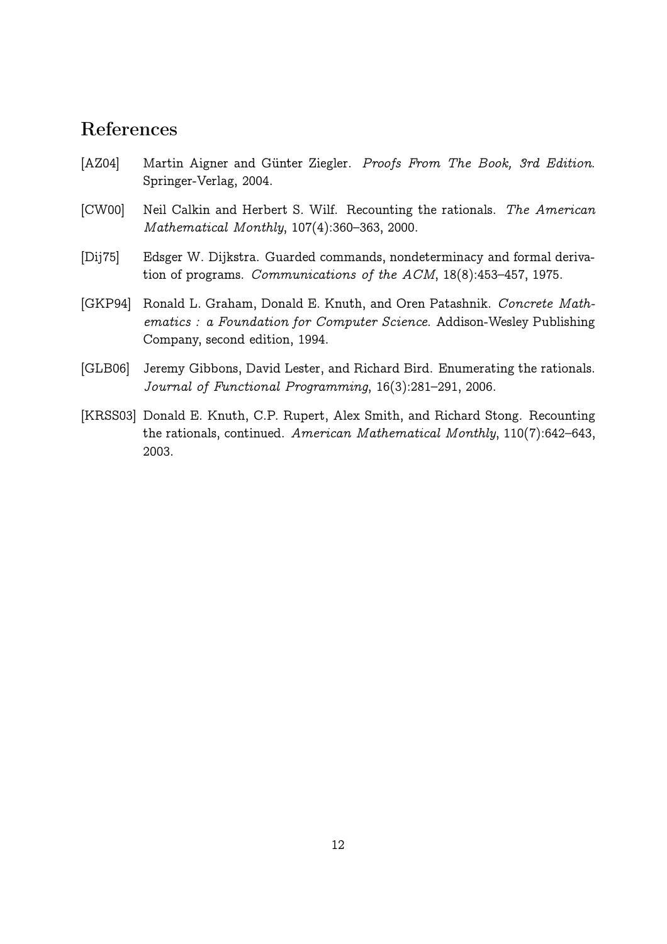# References

- [AZ04] Martin Aigner and Günter Ziegler. Proofs From The Book, 3rd Edition. Springer-Verlag, 2004.
- [CW00] Neil Calkin and Herbert S. Wilf. Recounting the rationals. The American Mathematical Monthly, 107(4):360–363, 2000.
- [Dij75] Edsger W. Dijkstra. Guarded commands, nondeterminacy and formal derivation of programs. Communications of the ACM, 18(8):453–457, 1975.
- [GKP94] Ronald L. Graham, Donald E. Knuth, and Oren Patashnik. Concrete Mathematics : a Foundation for Computer Science. Addison-Wesley Publishing Company, second edition, 1994.
- [GLB06] Jeremy Gibbons, David Lester, and Richard Bird. Enumerating the rationals. Journal of Functional Programming, 16(3):281–291, 2006.
- [KRSS03] Donald E. Knuth, C.P. Rupert, Alex Smith, and Richard Stong. Recounting the rationals, continued. American Mathematical Monthly, 110(7):642–643, 2003.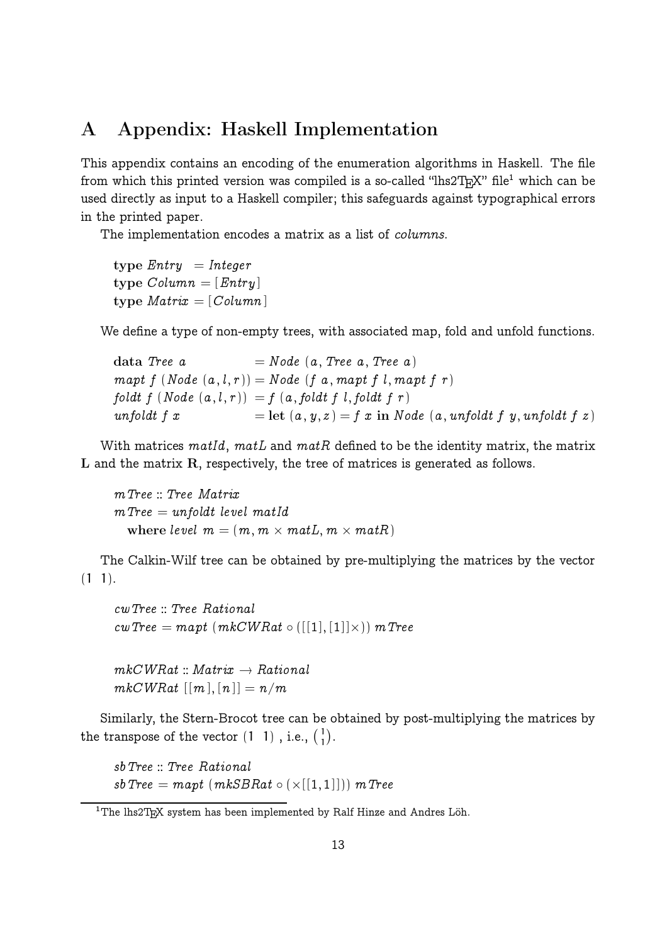# A Appendix: Haskell Implementation

This appendix contains an encoding of the enumeration algorithms in Haskell. The file from which this printed version was compiled is a so-called "lhs2 $T_{\rm E}$ X" file $^1$  which can be used directly as input to a Haskell compiler; this safeguards against typographical errors in the printed paper.

The implementation encodes a matrix as a list of *columns*.

type  $Entry = Integer$ type  $Column = [Entry]$ type  $Matrix = [Column]$ 

We define a type of non-empty trees, with associated map, fold and unfold functions.

data Tree  $a = Node (a, Tree a, Tree a)$  $mapt f (Node(a, l, r)) = Node (f a, mapt f l, mapt f r)$  $foldt$   $f$   $(Node~(a, l, r)) = f(a, foldt~f, l, foldt~f, r)$ unfoldt  $f(x)$  $f = \text{let } (a, y, z) = f x \text{ in } Node (a, unfoldt f y, unfoldt f z)$ 

With matrices matId, matL and matR defined to be the identity matrix, the matrix L and the matrix R, respectively, the tree of matrices is generated as follows.

mTree :: Tree Matrix  $m$ Tree  $=$  unfoldt level matId where level  $m = (m, m \times matL, m \times matR)$ 

The Calkin-Wilf tree can be obtained by pre-multiplying the matrices by the vector  $(1 1).$ 

```

wTree :: Tree Rational
\textit{cwTree} = \textit{mapt} \ (\textit{mkCWR}at \circ \ ([[1],[1]] \times)) \ \textit{mTree}
```
 $mkCWRat::Matrix \rightarrow Rational$  $mkCWRat \;[[m],[n]] = n/m$ 

Similarly, the Stern-Brocot tree can be obtained by post-multiplying the matrices by the transpose of the vector  $(1\; 1)$ , i.e.,  $\binom{1}{1}$  $\binom{1}{1}$ .

sbTree :: Tree Rational  $\textit{sbTree} = \textit{mapt}\ (\textit{mkSBRat} \circ (\times [\textcolor{gray}{[} \{ 1, 1 \} \textcolor{blue}{])})\ \textit{mTree}$ 

 $1$ The lhs $2$ T<sub>E</sub>X system has been implemented by Ralf Hinze and Andres Löh.